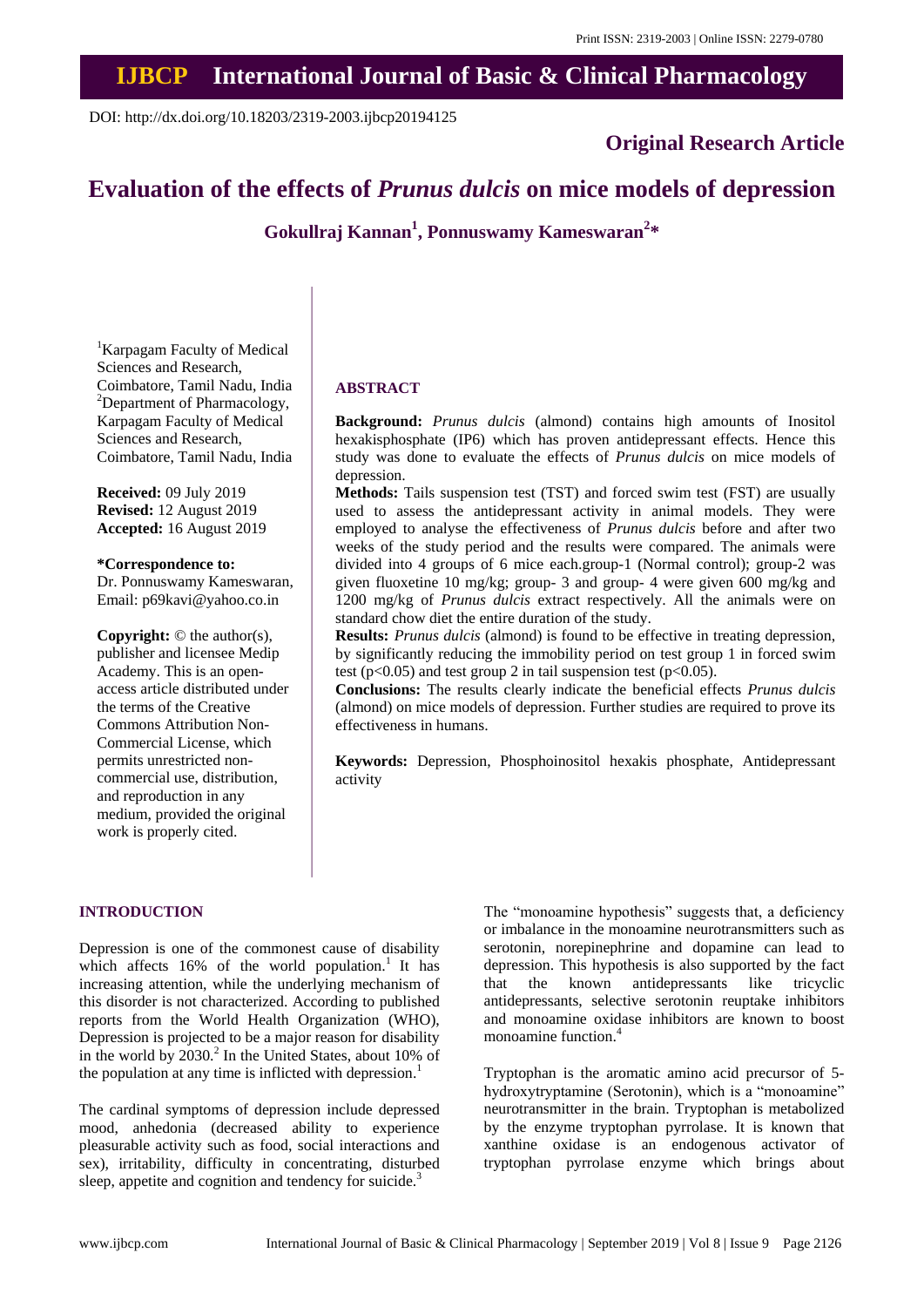# **IJBCP International Journal of Basic & Clinical Pharmacology**

DOI: http://dx.doi.org/10.18203/2319-2003.ijbcp20194125

**Original Research Article**

## **Evaluation of the effects of** *Prunus dulcis* **on mice models of depression**

**Gokullraj Kannan<sup>1</sup> , Ponnuswamy Kameswaran<sup>2</sup> \***

<sup>1</sup>Karpagam Faculty of Medical Sciences and Research, Coimbatore, Tamil Nadu, India <sup>2</sup>Department of Pharmacology, Karpagam Faculty of Medical Sciences and Research, Coimbatore, Tamil Nadu, India

**Received:** 09 July 2019 **Revised:** 12 August 2019 **Accepted:** 16 August 2019

#### **\*Correspondence to:**

Dr. Ponnuswamy Kameswaran, Email: p69kavi@yahoo.co.in

**Copyright:** © the author(s), publisher and licensee Medip Academy. This is an openaccess article distributed under the terms of the Creative Commons Attribution Non-Commercial License, which permits unrestricted noncommercial use, distribution, and reproduction in any medium, provided the original work is properly cited.

## **ABSTRACT**

**Background:** *Prunus dulcis* (almond) contains high amounts of Inositol hexakisphosphate (IP6) which has proven antidepressant effects. Hence this study was done to evaluate the effects of *Prunus dulcis* on mice models of depression.

**Methods:** Tails suspension test (TST) and forced swim test (FST) are usually used to assess the antidepressant activity in animal models. They were employed to analyse the effectiveness of *Prunus dulcis* before and after two weeks of the study period and the results were compared. The animals were divided into 4 groups of 6 mice each.group-1 (Normal control); group-2 was given fluoxetine 10 mg/kg; group- 3 and group- 4 were given 600 mg/kg and 1200 mg/kg of *Prunus dulcis* extract respectively. All the animals were on standard chow diet the entire duration of the study.

**Results:** *Prunus dulcis* (almond) is found to be effective in treating depression, by significantly reducing the immobility period on test group 1 in forced swim test ( $p<0.05$ ) and test group 2 in tail suspension test ( $p<0.05$ ).

**Conclusions:** The results clearly indicate the beneficial effects *Prunus dulcis* (almond) on mice models of depression. Further studies are required to prove its effectiveness in humans.

**Keywords:** Depression, Phosphoinositol hexakis phosphate, Antidepressant activity

## **INTRODUCTION**

Depression is one of the commonest cause of disability which affects  $16\%$  of the world population.<sup>1</sup> It has increasing attention, while the underlying mechanism of this disorder is not characterized. According to published reports from the World Health Organization (WHO), Depression is projected to be a major reason for disability in the world by  $2030<sup>2</sup>$  In the United States, about 10% of the population at any time is inflicted with depression.<sup>1</sup>

The cardinal symptoms of depression include depressed mood, anhedonia (decreased ability to experience pleasurable activity such as food, social interactions and sex), irritability, difficulty in concentrating, disturbed sleep, appetite and cognition and tendency for suicide.<sup>3</sup>

The "monoamine hypothesis" suggests that, a deficiency or imbalance in the monoamine neurotransmitters such as serotonin, norepinephrine and dopamine can lead to depression. This hypothesis is also supported by the fact that the known antidepressants like tricyclic antidepressants, selective serotonin reuptake inhibitors and monoamine oxidase inhibitors are known to boost monoamine function.<sup>4</sup>

Tryptophan is the aromatic amino acid precursor of 5 hydroxytryptamine (Serotonin), which is a "monoamine" neurotransmitter in the brain. Tryptophan is metabolized by the enzyme tryptophan pyrrolase. It is known that xanthine oxidase is an endogenous activator of tryptophan pyrrolase enzyme which brings about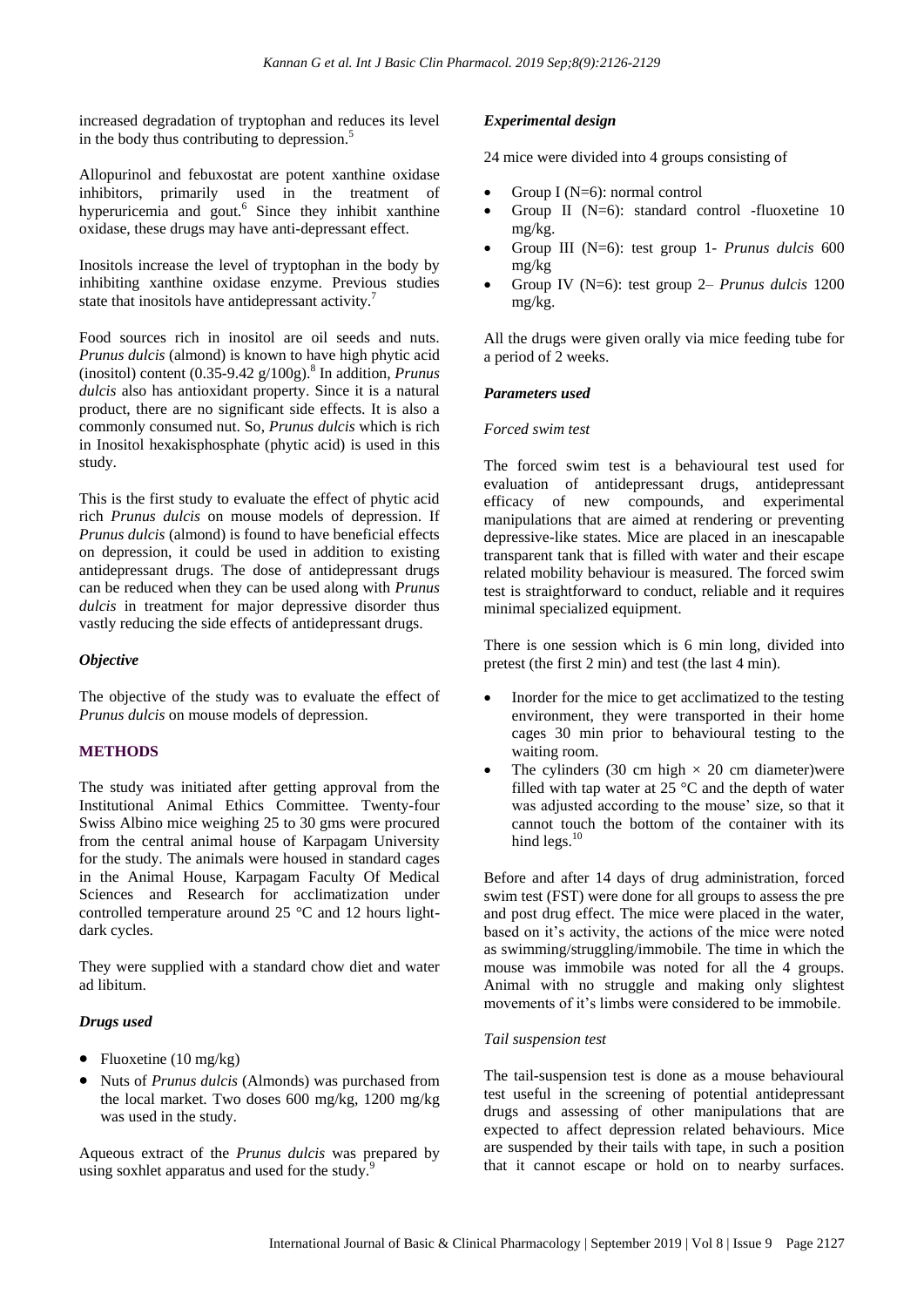increased degradation of tryptophan and reduces its level in the body thus contributing to depression.<sup>5</sup>

Allopurinol and febuxostat are potent xanthine oxidase inhibitors, primarily used in the treatment of hyperuricemia and gout.<sup>6</sup> Since they inhibit xanthine oxidase, these drugs may have anti-depressant effect.

Inositols increase the level of tryptophan in the body by inhibiting xanthine oxidase enzyme. Previous studies state that inositols have antidepressant activity.<sup>7</sup>

Food sources rich in inositol are oil seeds and nuts. *Prunus dulcis* (almond) is known to have high phytic acid (inositol) content (0.35-9.42 g/100g).<sup>8</sup> In addition, *Prunus dulcis* also has antioxidant property. Since it is a natural product, there are no significant side effects. It is also a commonly consumed nut. So, *Prunus dulcis* which is rich in Inositol hexakisphosphate (phytic acid) is used in this study.

This is the first study to evaluate the effect of phytic acid rich *Prunus dulcis* on mouse models of depression. If *Prunus dulcis* (almond) is found to have beneficial effects on depression, it could be used in addition to existing antidepressant drugs. The dose of antidepressant drugs can be reduced when they can be used along with *Prunus dulcis* in treatment for major depressive disorder thus vastly reducing the side effects of antidepressant drugs.

#### *Objective*

The objective of the study was to evaluate the effect of *Prunus dulcis* on mouse models of depression.

## **METHODS**

The study was initiated after getting approval from the Institutional Animal Ethics Committee. Twenty-four Swiss Albino mice weighing 25 to 30 gms were procured from the central animal house of Karpagam University for the study. The animals were housed in standard cages in the Animal House, Karpagam Faculty Of Medical Sciences and Research for acclimatization under controlled temperature around 25 °C and 12 hours lightdark cycles.

They were supplied with a standard chow diet and water ad libitum.

#### *Drugs used*

- Fluoxetine  $(10 \text{ mg/kg})$
- Nuts of *Prunus dulcis* (Almonds) was purchased from the local market. Two doses 600 mg/kg, 1200 mg/kg was used in the study.

Aqueous extract of the *Prunus dulcis* was prepared by using soxhlet apparatus and used for the study.<sup>9</sup>

## *Experimental design*

24 mice were divided into 4 groups consisting of

- Group I (N=6): normal control
- Group II (N=6): standard control -fluoxetine 10 mg/kg.
- Group III (N=6): test group 1- *Prunus dulcis* 600 mg/kg
- Group IV (N=6): test group 2– *Prunus dulcis* 1200 mg/kg.

All the drugs were given orally via mice feeding tube for a period of 2 weeks.

#### *Parameters used*

#### *Forced swim test*

The forced swim test is a behavioural test used for evaluation of antidepressant drugs, antidepressant efficacy of new compounds, and experimental manipulations that are aimed at rendering or preventing depressive-like states. Mice are placed in an inescapable transparent tank that is filled with water and their escape related mobility behaviour is measured. The forced swim test is straightforward to conduct, reliable and it requires minimal specialized equipment.

There is one session which is 6 min long, divided into pretest (the first 2 min) and test (the last 4 min).

- Inorder for the mice to get acclimatized to the testing environment, they were transported in their home cages 30 min prior to behavioural testing to the waiting room.
- The cylinders (30 cm high  $\times$  20 cm diameter) were filled with tap water at  $25^{\circ}$ C and the depth of water was adjusted according to the mouse' size, so that it cannot touch the bottom of the container with its hind legs.<sup>10</sup>

Before and after 14 days of drug administration, forced swim test (FST) were done for all groups to assess the pre and post drug effect. The mice were placed in the water, based on it's activity, the actions of the mice were noted as swimming/struggling/immobile. The time in which the mouse was immobile was noted for all the 4 groups. Animal with no struggle and making only slightest movements of it's limbs were considered to be immobile.

#### *Tail suspension test*

The tail-suspension test is done as a mouse behavioural test useful in the screening of potential antidepressant drugs and assessing of other manipulations that are expected to affect depression related behaviours. Mice are suspended by their tails with tape, in such a position that it cannot escape or hold on to nearby surfaces.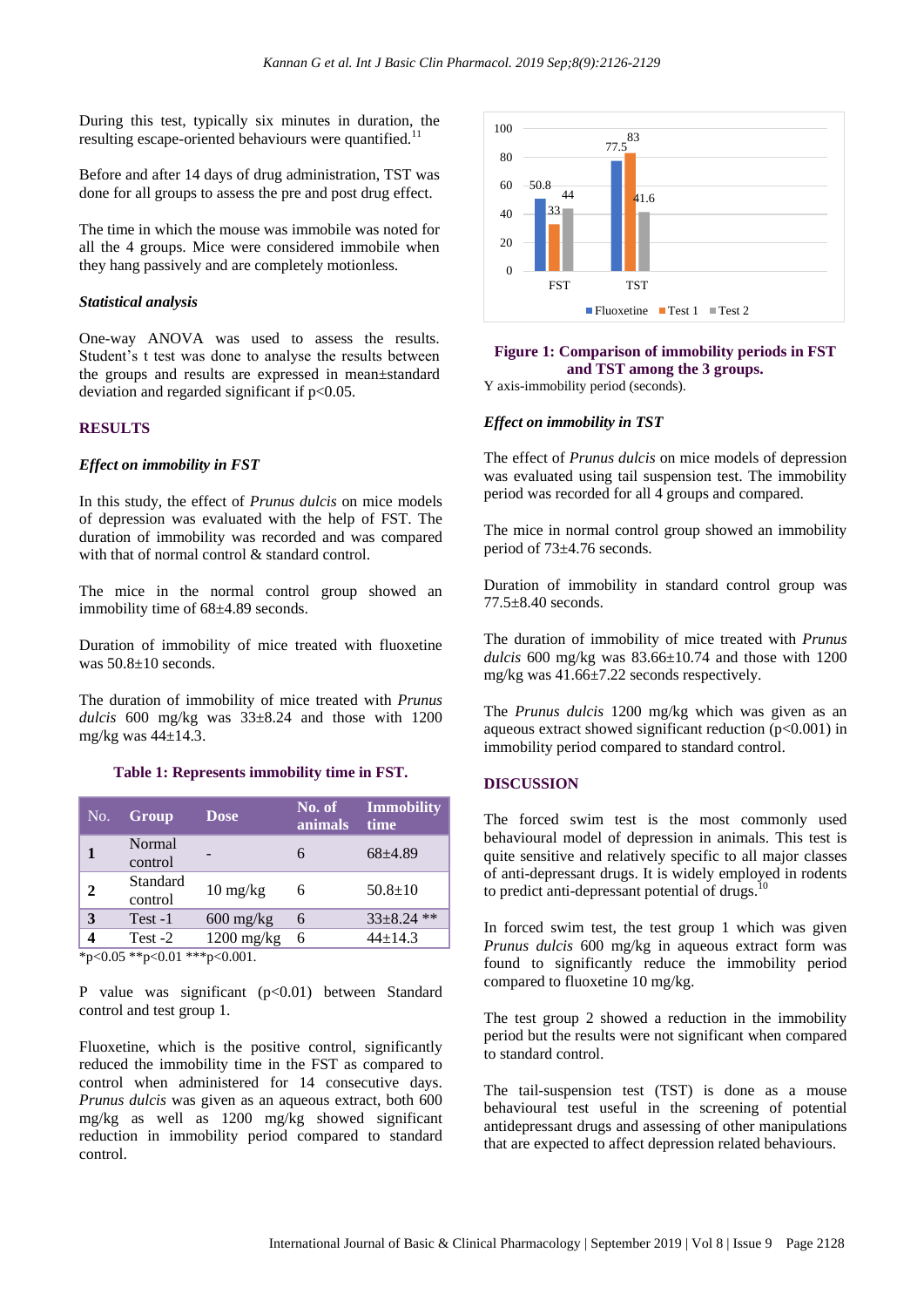During this test, typically six minutes in duration, the resulting escape-oriented behaviours were quantified.<sup>1</sup>

Before and after 14 days of drug administration, TST was done for all groups to assess the pre and post drug effect.

The time in which the mouse was immobile was noted for all the 4 groups. Mice were considered immobile when they hang passively and are completely motionless.

### *Statistical analysis*

One-way ANOVA was used to assess the results. Student's t test was done to analyse the results between the groups and results are expressed in mean±standard deviation and regarded significant if  $p<0.05$ .

#### **RESULTS**

#### *Effect on immobility in FST*

In this study, the effect of *Prunus dulcis* on mice models of depression was evaluated with the help of FST. The duration of immobility was recorded and was compared with that of normal control & standard control.

The mice in the normal control group showed an immobility time of 68±4.89 seconds.

Duration of immobility of mice treated with fluoxetine was 50.8±10 seconds.

The duration of immobility of mice treated with *Prunus dulcis* 600 mg/kg was 33±8.24 and those with 1200 mg/kg was  $44\pm14.3$ .

#### **Table 1: Represents immobility time in FST.**

| No. | Group               | <b>Dose</b>                       | No. of<br>animals | Immobility<br>time |
|-----|---------------------|-----------------------------------|-------------------|--------------------|
|     | Normal<br>control   |                                   | 6                 | $68 + 4.89$        |
| 2   | Standard<br>control | $10 \frac{\text{mg}}{\text{kg}}$  | 6                 | $50.8 \pm 10$      |
|     | $Test -1$           | $600 \frac{\text{mg}}{\text{kg}}$ | 6                 | $33\pm8.24$ **     |
|     | Test -2             | $1200$ mg/kg                      | 6                 | $44+14.3$          |

 $*p<0.05$  \*\*p $<0.01$  \*\*\*p $<0.001$ .

P value was significant (p<0.01) between Standard control and test group 1.

Fluoxetine, which is the positive control, significantly reduced the immobility time in the FST as compared to control when administered for 14 consecutive days. *Prunus dulcis* was given as an aqueous extract, both 600 mg/kg as well as 1200 mg/kg showed significant reduction in immobility period compared to standard control.



## **Figure 1: Comparison of immobility periods in FST and TST among the 3 groups.**

Y axis-immobility period (seconds).

#### *Effect on immobility in TST*

The effect of *Prunus dulcis* on mice models of depression was evaluated using tail suspension test. The immobility period was recorded for all 4 groups and compared.

The mice in normal control group showed an immobility period of 73±4.76 seconds.

Duration of immobility in standard control group was 77.5±8.40 seconds.

The duration of immobility of mice treated with *Prunus dulcis* 600 mg/kg was 83.66±10.74 and those with 1200 mg/kg was 41.66±7.22 seconds respectively.

The *Prunus dulcis* 1200 mg/kg which was given as an aqueous extract showed significant reduction  $(p<0.001)$  in immobility period compared to standard control.

#### **DISCUSSION**

The forced swim test is the most commonly used behavioural model of depression in animals. This test is quite sensitive and relatively specific to all major classes of anti-depressant drugs. It is widely employed in rodents to predict anti-depressant potential of drugs.<sup>1</sup>

In forced swim test, the test group 1 which was given *Prunus dulcis* 600 mg/kg in aqueous extract form was found to significantly reduce the immobility period compared to fluoxetine 10 mg/kg.

The test group 2 showed a reduction in the immobility period but the results were not significant when compared to standard control.

The tail-suspension test (TST) is done as a mouse behavioural test useful in the screening of potential antidepressant drugs and assessing of other manipulations that are expected to affect depression related behaviours.